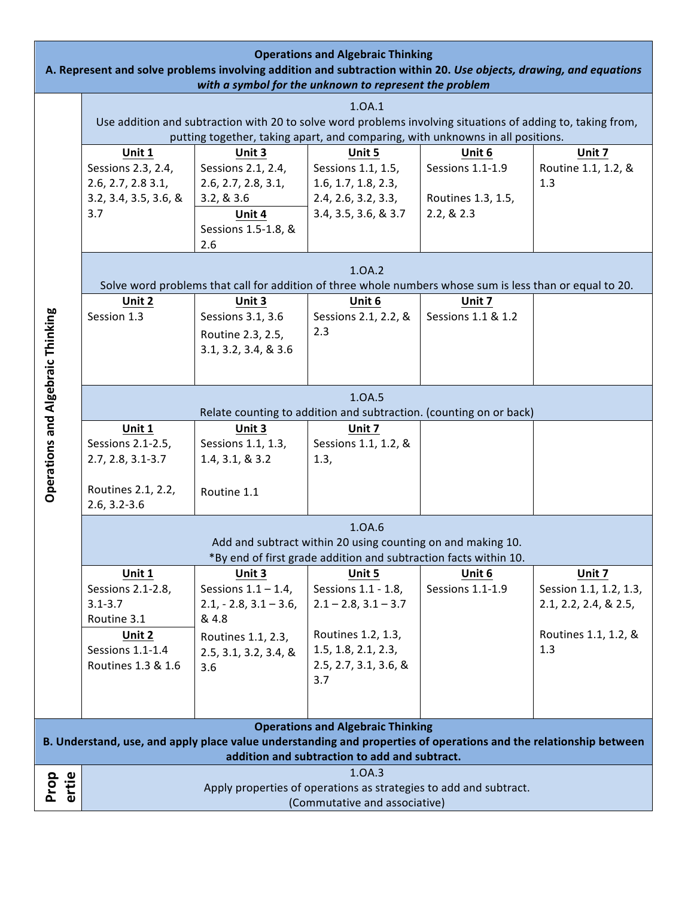| <b>Operations and Algebraic Thinking</b><br>A. Represent and solve problems involving addition and subtraction within 20. Use objects, drawing, and equations<br>with a symbol for the unknown to represent the problem |                                                                                                                                                                                               |                              |                                                                                                          |                    |                        |  |  |  |
|-------------------------------------------------------------------------------------------------------------------------------------------------------------------------------------------------------------------------|-----------------------------------------------------------------------------------------------------------------------------------------------------------------------------------------------|------------------------------|----------------------------------------------------------------------------------------------------------|--------------------|------------------------|--|--|--|
| 1.0A.1                                                                                                                                                                                                                  |                                                                                                                                                                                               |                              |                                                                                                          |                    |                        |  |  |  |
|                                                                                                                                                                                                                         |                                                                                                                                                                                               |                              |                                                                                                          |                    |                        |  |  |  |
|                                                                                                                                                                                                                         | Use addition and subtraction with 20 to solve word problems involving situations of adding to, taking from,<br>putting together, taking apart, and comparing, with unknowns in all positions. |                              |                                                                                                          |                    |                        |  |  |  |
|                                                                                                                                                                                                                         | Unit 1                                                                                                                                                                                        | Unit 3                       | Unit 5                                                                                                   | Unit 6             | Unit 7                 |  |  |  |
|                                                                                                                                                                                                                         | Sessions 2.3, 2.4,                                                                                                                                                                            | Sessions 2.1, 2.4,           | Sessions 1.1, 1.5,                                                                                       | Sessions 1.1-1.9   | Routine 1.1, 1.2, &    |  |  |  |
|                                                                                                                                                                                                                         | 2.6, 2.7, 2.831,                                                                                                                                                                              | 2.6, 2.7, 2.8, 3.1,          | 1.6, 1.7, 1.8, 2.3,                                                                                      |                    | 1.3                    |  |  |  |
|                                                                                                                                                                                                                         | 3.2, 3.4, 3.5, 3.6, 8                                                                                                                                                                         | 3.2, 8.3.6                   | 2.4, 2.6, 3.2, 3.3,                                                                                      | Routines 1.3, 1.5, |                        |  |  |  |
|                                                                                                                                                                                                                         | 3.7                                                                                                                                                                                           | Unit 4                       | 3.4, 3.5, 3.6, & 3.7                                                                                     | 2.2, 8.2.3         |                        |  |  |  |
|                                                                                                                                                                                                                         |                                                                                                                                                                                               | Sessions 1.5-1.8, &          |                                                                                                          |                    |                        |  |  |  |
|                                                                                                                                                                                                                         |                                                                                                                                                                                               | 2.6                          |                                                                                                          |                    |                        |  |  |  |
|                                                                                                                                                                                                                         | 1.0A.2                                                                                                                                                                                        |                              |                                                                                                          |                    |                        |  |  |  |
|                                                                                                                                                                                                                         |                                                                                                                                                                                               |                              | Solve word problems that call for addition of three whole numbers whose sum is less than or equal to 20. |                    |                        |  |  |  |
|                                                                                                                                                                                                                         | Unit 2                                                                                                                                                                                        | Unit 3                       | Unit 6                                                                                                   | Unit 7             |                        |  |  |  |
|                                                                                                                                                                                                                         | Session 1.3                                                                                                                                                                                   | Sessions 3.1, 3.6            | Sessions 2.1, 2.2, &                                                                                     | Sessions 1.1 & 1.2 |                        |  |  |  |
|                                                                                                                                                                                                                         |                                                                                                                                                                                               | Routine 2.3, 2.5,            | 2.3                                                                                                      |                    |                        |  |  |  |
|                                                                                                                                                                                                                         |                                                                                                                                                                                               | 3.1, 3.2, 3.4, & 3.6         |                                                                                                          |                    |                        |  |  |  |
|                                                                                                                                                                                                                         |                                                                                                                                                                                               |                              |                                                                                                          |                    |                        |  |  |  |
| <b>Operations and Algebraic Thinking</b>                                                                                                                                                                                | 1.0A.5                                                                                                                                                                                        |                              |                                                                                                          |                    |                        |  |  |  |
|                                                                                                                                                                                                                         | Relate counting to addition and subtraction. (counting on or back)<br>Unit 1                                                                                                                  |                              |                                                                                                          |                    |                        |  |  |  |
|                                                                                                                                                                                                                         | Sessions 2.1-2.5,                                                                                                                                                                             | Unit 3<br>Sessions 1.1, 1.3, | Unit 7<br>Sessions 1.1, 1.2, &                                                                           |                    |                        |  |  |  |
|                                                                                                                                                                                                                         | $2.7, 2.8, 3.1 - 3.7$                                                                                                                                                                         | 1.4, 3.1, & 3.2              | 1.3,                                                                                                     |                    |                        |  |  |  |
|                                                                                                                                                                                                                         |                                                                                                                                                                                               |                              |                                                                                                          |                    |                        |  |  |  |
|                                                                                                                                                                                                                         | Routines 2.1, 2.2,                                                                                                                                                                            | Routine 1.1                  |                                                                                                          |                    |                        |  |  |  |
|                                                                                                                                                                                                                         | $2.6, 3.2 - 3.6$                                                                                                                                                                              |                              |                                                                                                          |                    |                        |  |  |  |
|                                                                                                                                                                                                                         | 1.0A.6                                                                                                                                                                                        |                              |                                                                                                          |                    |                        |  |  |  |
|                                                                                                                                                                                                                         | Add and subtract within 20 using counting on and making 10.                                                                                                                                   |                              |                                                                                                          |                    |                        |  |  |  |
|                                                                                                                                                                                                                         | *By end of first grade addition and subtraction facts within 10.                                                                                                                              |                              |                                                                                                          |                    |                        |  |  |  |
|                                                                                                                                                                                                                         | Unit 1                                                                                                                                                                                        | Unit 3                       | Unit 5                                                                                                   | Unit 6             | Unit 7                 |  |  |  |
|                                                                                                                                                                                                                         | Sessions 2.1-2.8,                                                                                                                                                                             | Sessions $1.1 - 1.4$ ,       | Sessions 1.1 - 1.8,                                                                                      | Sessions 1.1-1.9   | Session 1.1, 1.2, 1.3, |  |  |  |
|                                                                                                                                                                                                                         | $3.1 - 3.7$                                                                                                                                                                                   | $2.1, -2.8, 3.1 - 3.6,$      | $2.1 - 2.8$ , $3.1 - 3.7$                                                                                |                    | 2.1, 2.2, 2.4, & 2.5,  |  |  |  |
|                                                                                                                                                                                                                         | Routine 3.1                                                                                                                                                                                   | & 4.8                        | Routines 1.2, 1.3,                                                                                       |                    | Routines 1.1, 1.2, &   |  |  |  |
|                                                                                                                                                                                                                         | Unit 2<br>Sessions 1.1-1.4                                                                                                                                                                    | Routines 1.1, 2.3,           | 1.5, 1.8, 2.1, 2.3,                                                                                      |                    | 1.3                    |  |  |  |
|                                                                                                                                                                                                                         | Routines 1.3 & 1.6                                                                                                                                                                            | 2.5, 3.1, 3.2, 3.4, &<br>3.6 | 2.5, 2.7, 3.1, 3.6, &                                                                                    |                    |                        |  |  |  |
|                                                                                                                                                                                                                         |                                                                                                                                                                                               |                              | 3.7                                                                                                      |                    |                        |  |  |  |
|                                                                                                                                                                                                                         |                                                                                                                                                                                               |                              |                                                                                                          |                    |                        |  |  |  |
|                                                                                                                                                                                                                         |                                                                                                                                                                                               |                              |                                                                                                          |                    |                        |  |  |  |
| <b>Operations and Algebraic Thinking</b><br>B. Understand, use, and apply place value understanding and properties of operations and the relationship between                                                           |                                                                                                                                                                                               |                              |                                                                                                          |                    |                        |  |  |  |
|                                                                                                                                                                                                                         |                                                                                                                                                                                               |                              | addition and subtraction to add and subtract.                                                            |                    |                        |  |  |  |
|                                                                                                                                                                                                                         |                                                                                                                                                                                               |                              | 1.0A.3                                                                                                   |                    |                        |  |  |  |
| Prop<br>ertie                                                                                                                                                                                                           | Apply properties of operations as strategies to add and subtract.                                                                                                                             |                              |                                                                                                          |                    |                        |  |  |  |
|                                                                                                                                                                                                                         | (Commutative and associative)                                                                                                                                                                 |                              |                                                                                                          |                    |                        |  |  |  |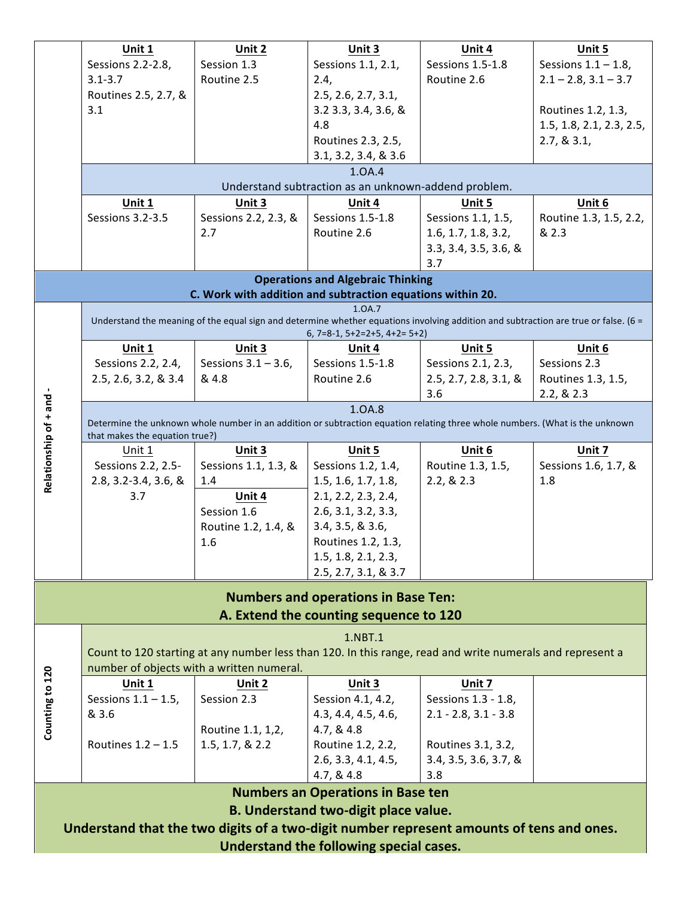|                                                                                          | Unit 1                                                                                                                       | Unit 2                 | Unit 3                                                     | Unit 4                                                                                                                                 | Unit 5                    |  |  |  |  |
|------------------------------------------------------------------------------------------|------------------------------------------------------------------------------------------------------------------------------|------------------------|------------------------------------------------------------|----------------------------------------------------------------------------------------------------------------------------------------|---------------------------|--|--|--|--|
|                                                                                          | Sessions 2.2-2.8,                                                                                                            | Session 1.3            | Sessions 1.1, 2.1,                                         | Sessions 1.5-1.8                                                                                                                       | Sessions $1.1 - 1.8$ ,    |  |  |  |  |
|                                                                                          | $3.1 - 3.7$                                                                                                                  | Routine 2.5            | 2.4,                                                       | Routine 2.6                                                                                                                            | $2.1 - 2.8$ , $3.1 - 3.7$ |  |  |  |  |
|                                                                                          | Routines 2.5, 2.7, &                                                                                                         |                        | 2.5, 2.6, 2.7, 3.1,                                        |                                                                                                                                        |                           |  |  |  |  |
|                                                                                          |                                                                                                                              |                        |                                                            |                                                                                                                                        |                           |  |  |  |  |
|                                                                                          | 3.1                                                                                                                          |                        | 3.2 3.3, 3.4, 3.6, &                                       |                                                                                                                                        | Routines 1.2, 1.3,        |  |  |  |  |
|                                                                                          |                                                                                                                              |                        | 4.8                                                        |                                                                                                                                        | 1.5, 1.8, 2.1, 2.3, 2.5,  |  |  |  |  |
|                                                                                          |                                                                                                                              |                        | Routines 2.3, 2.5,                                         |                                                                                                                                        | 2.7, 8.3.1,               |  |  |  |  |
|                                                                                          |                                                                                                                              |                        | 3.1, 3.2, 3.4, & 3.6                                       |                                                                                                                                        |                           |  |  |  |  |
|                                                                                          | 1.0A.4                                                                                                                       |                        |                                                            |                                                                                                                                        |                           |  |  |  |  |
|                                                                                          | Understand subtraction as an unknown-addend problem.                                                                         |                        |                                                            |                                                                                                                                        |                           |  |  |  |  |
|                                                                                          | Unit 1                                                                                                                       | Unit 3                 | Unit 4                                                     | Unit 5                                                                                                                                 | Unit 6                    |  |  |  |  |
|                                                                                          | Sessions 3.2-3.5                                                                                                             | Sessions 2.2, 2.3, &   | Sessions 1.5-1.8                                           | Sessions 1.1, 1.5,                                                                                                                     | Routine 1.3, 1.5, 2.2,    |  |  |  |  |
|                                                                                          |                                                                                                                              | 2.7                    | Routine 2.6                                                | 1.6, 1.7, 1.8, 3.2,                                                                                                                    | & 2.3                     |  |  |  |  |
|                                                                                          |                                                                                                                              |                        |                                                            | 3.3, 3.4, 3.5, 3.6, 8                                                                                                                  |                           |  |  |  |  |
|                                                                                          |                                                                                                                              |                        |                                                            | 3.7                                                                                                                                    |                           |  |  |  |  |
|                                                                                          |                                                                                                                              |                        | <b>Operations and Algebraic Thinking</b>                   |                                                                                                                                        |                           |  |  |  |  |
|                                                                                          |                                                                                                                              |                        | C. Work with addition and subtraction equations within 20. |                                                                                                                                        |                           |  |  |  |  |
|                                                                                          |                                                                                                                              |                        | 1.0A.7                                                     |                                                                                                                                        |                           |  |  |  |  |
|                                                                                          |                                                                                                                              |                        |                                                            | Understand the meaning of the equal sign and determine whether equations involving addition and subtraction are true or false. ( $6 =$ |                           |  |  |  |  |
|                                                                                          |                                                                                                                              |                        | $6, 7=8-1, 5+2=2+5, 4+2=5+2$                               |                                                                                                                                        |                           |  |  |  |  |
|                                                                                          | Unit 1                                                                                                                       | Unit 3                 | Unit 4                                                     | Unit 5                                                                                                                                 | Unit 6                    |  |  |  |  |
|                                                                                          | Sessions 2.2, 2.4,                                                                                                           | Sessions $3.1 - 3.6$ , | Sessions 1.5-1.8                                           | Sessions 2.1, 2.3,                                                                                                                     | Sessions 2.3              |  |  |  |  |
|                                                                                          | 2.5, 2.6, 3.2, & 3.4                                                                                                         | & 4.8                  | Routine 2.6                                                | 2.5, 2.7, 2.8, 3.1, 8                                                                                                                  | Routines 1.3, 1.5,        |  |  |  |  |
|                                                                                          |                                                                                                                              |                        |                                                            | 3.6                                                                                                                                    | 2.2, 8.2.3                |  |  |  |  |
|                                                                                          |                                                                                                                              |                        | 1.0A.8                                                     |                                                                                                                                        |                           |  |  |  |  |
|                                                                                          | Determine the unknown whole number in an addition or subtraction equation relating three whole numbers. (What is the unknown |                        |                                                            |                                                                                                                                        |                           |  |  |  |  |
| Relationship of + and -                                                                  | that makes the equation true?)                                                                                               |                        |                                                            |                                                                                                                                        |                           |  |  |  |  |
|                                                                                          | Unit 1                                                                                                                       | Unit 3                 | Unit 5                                                     | Unit 6                                                                                                                                 | Unit 7                    |  |  |  |  |
|                                                                                          | Sessions 2.2, 2.5-                                                                                                           | Sessions 1.1, 1.3, &   | Sessions 1.2, 1.4,                                         | Routine 1.3, 1.5,                                                                                                                      | Sessions 1.6, 1.7, &      |  |  |  |  |
|                                                                                          | 2.8, 3.2-3.4, 3.6, &                                                                                                         | 1.4                    | 1.5, 1.6, 1.7, 1.8,                                        | 2.2, 8.2.3                                                                                                                             | 1.8                       |  |  |  |  |
|                                                                                          |                                                                                                                              |                        |                                                            |                                                                                                                                        |                           |  |  |  |  |
|                                                                                          | 3.7                                                                                                                          | Unit 4                 | 2.1, 2.2, 2.3, 2.4,                                        |                                                                                                                                        |                           |  |  |  |  |
|                                                                                          |                                                                                                                              | Session 1.6            | 2.6, 3.1, 3.2, 3.3,                                        |                                                                                                                                        |                           |  |  |  |  |
|                                                                                          |                                                                                                                              | Routine 1.2, 1.4, &    | 3.4, 3.5, 8.3.6,                                           |                                                                                                                                        |                           |  |  |  |  |
|                                                                                          |                                                                                                                              | 1.6                    | Routines 1.2, 1.3,                                         |                                                                                                                                        |                           |  |  |  |  |
|                                                                                          |                                                                                                                              |                        | 1.5, 1.8, 2.1, 2.3,                                        |                                                                                                                                        |                           |  |  |  |  |
|                                                                                          |                                                                                                                              |                        | 2.5, 2.7, 3.1, 8.3.7                                       |                                                                                                                                        |                           |  |  |  |  |
|                                                                                          |                                                                                                                              |                        |                                                            |                                                                                                                                        |                           |  |  |  |  |
|                                                                                          |                                                                                                                              |                        | <b>Numbers and operations in Base Ten:</b>                 |                                                                                                                                        |                           |  |  |  |  |
|                                                                                          |                                                                                                                              |                        | A. Extend the counting sequence to 120                     |                                                                                                                                        |                           |  |  |  |  |
|                                                                                          |                                                                                                                              |                        | 1.NBT.1                                                    |                                                                                                                                        |                           |  |  |  |  |
|                                                                                          |                                                                                                                              |                        |                                                            | Count to 120 starting at any number less than 120. In this range, read and write numerals and represent a                              |                           |  |  |  |  |
|                                                                                          | number of objects with a written numeral.                                                                                    |                        |                                                            |                                                                                                                                        |                           |  |  |  |  |
|                                                                                          | Unit 1                                                                                                                       | Unit 2                 | Unit 3                                                     | Unit 7                                                                                                                                 |                           |  |  |  |  |
|                                                                                          | Sessions $1.1 - 1.5$ ,                                                                                                       | Session 2.3            | Session 4.1, 4.2,                                          | Sessions 1.3 - 1.8,                                                                                                                    |                           |  |  |  |  |
|                                                                                          | & 3.6                                                                                                                        |                        | 4.3, 4.4, 4.5, 4.6,                                        | $2.1 - 2.8, 3.1 - 3.8$                                                                                                                 |                           |  |  |  |  |
| Counting to 120                                                                          |                                                                                                                              |                        |                                                            |                                                                                                                                        |                           |  |  |  |  |
|                                                                                          |                                                                                                                              | Routine 1.1, 1, 2,     | 4.7, & 4.8                                                 |                                                                                                                                        |                           |  |  |  |  |
|                                                                                          | Routines $1.2 - 1.5$                                                                                                         | 1.5, 1.7, 8.2.2        | Routine 1.2, 2.2,                                          | Routines 3.1, 3.2,                                                                                                                     |                           |  |  |  |  |
|                                                                                          |                                                                                                                              |                        | 2.6, 3.3, 4.1, 4.5,                                        | 3.4, 3.5, 3.6, 3.7, &                                                                                                                  |                           |  |  |  |  |
|                                                                                          |                                                                                                                              |                        | 4.7, & 4.8                                                 | 3.8                                                                                                                                    |                           |  |  |  |  |
|                                                                                          |                                                                                                                              |                        | <b>Numbers an Operations in Base ten</b>                   |                                                                                                                                        |                           |  |  |  |  |
|                                                                                          |                                                                                                                              |                        | <b>B. Understand two-digit place value.</b>                |                                                                                                                                        |                           |  |  |  |  |
| Understand that the two digits of a two-digit number represent amounts of tens and ones. |                                                                                                                              |                        |                                                            |                                                                                                                                        |                           |  |  |  |  |
|                                                                                          |                                                                                                                              |                        |                                                            |                                                                                                                                        |                           |  |  |  |  |
| Understand the following special cases.                                                  |                                                                                                                              |                        |                                                            |                                                                                                                                        |                           |  |  |  |  |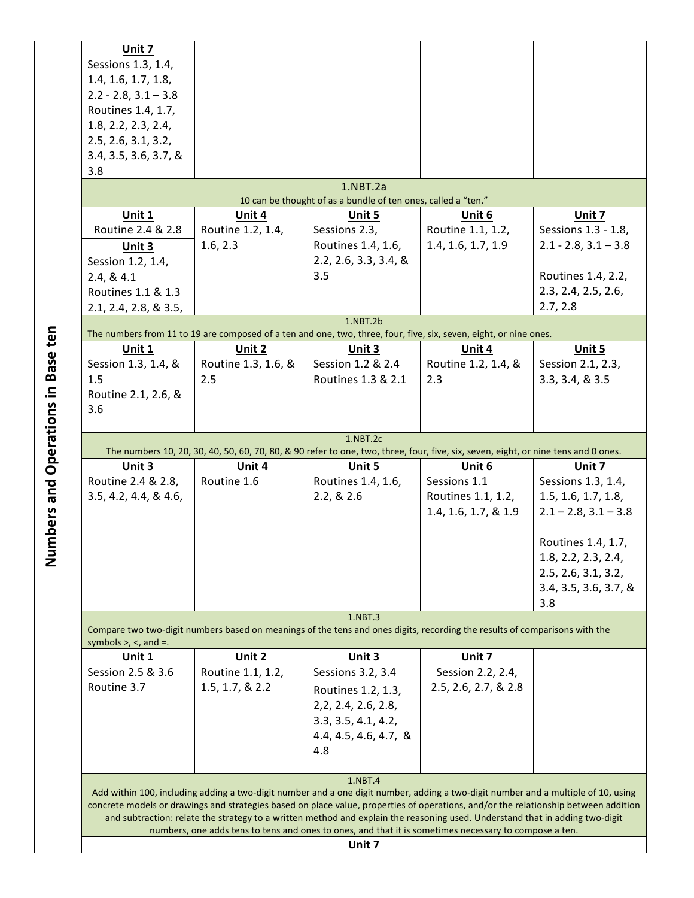| Unit 7                                                                                                                                                                 |                                                                                                                                     |                       |                      |                        |  |  |  |  |
|------------------------------------------------------------------------------------------------------------------------------------------------------------------------|-------------------------------------------------------------------------------------------------------------------------------------|-----------------------|----------------------|------------------------|--|--|--|--|
| Sessions 1.3, 1.4,                                                                                                                                                     |                                                                                                                                     |                       |                      |                        |  |  |  |  |
| 1.4, 1.6, 1.7, 1.8,                                                                                                                                                    |                                                                                                                                     |                       |                      |                        |  |  |  |  |
| $2.2 - 2.8, 3.1 - 3.8$                                                                                                                                                 |                                                                                                                                     |                       |                      |                        |  |  |  |  |
| Routines 1.4, 1.7,                                                                                                                                                     |                                                                                                                                     |                       |                      |                        |  |  |  |  |
| 1.8, 2.2, 2.3, 2.4,                                                                                                                                                    |                                                                                                                                     |                       |                      |                        |  |  |  |  |
| 2.5, 2.6, 3.1, 3.2,                                                                                                                                                    |                                                                                                                                     |                       |                      |                        |  |  |  |  |
| 3.4, 3.5, 3.6, 3.7, &                                                                                                                                                  |                                                                                                                                     |                       |                      |                        |  |  |  |  |
| 3.8                                                                                                                                                                    |                                                                                                                                     |                       |                      |                        |  |  |  |  |
| 1.NBT.2a<br>10 can be thought of as a bundle of ten ones, called a "ten."                                                                                              |                                                                                                                                     |                       |                      |                        |  |  |  |  |
| Unit 1                                                                                                                                                                 | Unit 4                                                                                                                              | Unit 5                | Unit 6               | Unit 7                 |  |  |  |  |
| Routine 2.4 & 2.8                                                                                                                                                      | Routine 1.2, 1.4,                                                                                                                   | Sessions 2.3,         | Routine 1.1, 1.2,    | Sessions 1.3 - 1.8,    |  |  |  |  |
| Unit 3                                                                                                                                                                 | 1.6, 2.3                                                                                                                            | Routines 1.4, 1.6,    | 1.4, 1.6, 1.7, 1.9   | $2.1 - 2.8, 3.1 - 3.8$ |  |  |  |  |
| Session 1.2, 1.4,                                                                                                                                                      |                                                                                                                                     | 2.2, 2.6, 3.3, 3.4, & |                      |                        |  |  |  |  |
| 2.4, 8.4.1                                                                                                                                                             |                                                                                                                                     | 3.5                   |                      | Routines 1.4, 2.2,     |  |  |  |  |
| Routines 1.1 & 1.3                                                                                                                                                     |                                                                                                                                     |                       |                      | 2.3, 2.4, 2.5, 2.6,    |  |  |  |  |
| 2.1, 2.4, 2.8, & 3.5,                                                                                                                                                  |                                                                                                                                     |                       |                      | 2.7, 2.8               |  |  |  |  |
|                                                                                                                                                                        |                                                                                                                                     | $1.$ NBT $.2b$        |                      |                        |  |  |  |  |
| Unit 1                                                                                                                                                                 | The numbers from 11 to 19 are composed of a ten and one, two, three, four, five, six, seven, eight, or nine ones.<br>Unit 2         | Unit 3                | Unit 4               | Unit 5                 |  |  |  |  |
| Session 1.3, 1.4, &                                                                                                                                                    | Routine 1.3, 1.6, &                                                                                                                 | Session 1.2 & 2.4     | Routine 1.2, 1.4, &  | Session 2.1, 2.3,      |  |  |  |  |
| 1.5                                                                                                                                                                    | 2.5                                                                                                                                 | Routines 1.3 & 2.1    | 2.3                  | 3.3, 3.4, 8.3.5        |  |  |  |  |
| Routine 2.1, 2.6, &                                                                                                                                                    |                                                                                                                                     |                       |                      |                        |  |  |  |  |
| 3.6                                                                                                                                                                    |                                                                                                                                     |                       |                      |                        |  |  |  |  |
|                                                                                                                                                                        |                                                                                                                                     |                       |                      |                        |  |  |  |  |
|                                                                                                                                                                        |                                                                                                                                     | $1.$ NBT $.2c$        |                      |                        |  |  |  |  |
|                                                                                                                                                                        | The numbers 10, 20, 30, 40, 50, 60, 70, 80, & 90 refer to one, two, three, four, five, six, seven, eight, or nine tens and 0 ones.  |                       |                      |                        |  |  |  |  |
| Unit 3                                                                                                                                                                 | Unit 4                                                                                                                              | Unit 5                | Unit 6               | Unit 7                 |  |  |  |  |
| Routine 2.4 & 2.8,                                                                                                                                                     | Routine 1.6                                                                                                                         | Routines 1.4, 1.6,    | Sessions 1.1         | Sessions 1.3, 1.4,     |  |  |  |  |
| 3.5, 4.2, 4.4, & 4.6,                                                                                                                                                  |                                                                                                                                     | 2.2, 8.2.6            | Routines 1.1, 1.2,   | 1.5, 1.6, 1.7, 1.8,    |  |  |  |  |
| 1.4, 1.6, 1.7, & 1.9<br>$2.1 - 2.8$ , $3.1 - 3.8$                                                                                                                      |                                                                                                                                     |                       |                      |                        |  |  |  |  |
|                                                                                                                                                                        |                                                                                                                                     |                       |                      |                        |  |  |  |  |
|                                                                                                                                                                        |                                                                                                                                     |                       |                      | Routines 1.4, 1.7,     |  |  |  |  |
|                                                                                                                                                                        |                                                                                                                                     |                       |                      | 1.8, 2.2, 2.3, 2.4,    |  |  |  |  |
|                                                                                                                                                                        |                                                                                                                                     |                       |                      | 2.5, 2.6, 3.1, 3.2,    |  |  |  |  |
|                                                                                                                                                                        |                                                                                                                                     |                       |                      | 3.4, 3.5, 3.6, 3.7, &  |  |  |  |  |
|                                                                                                                                                                        |                                                                                                                                     |                       |                      | 3.8                    |  |  |  |  |
| 1.NBT.3<br>Compare two two-digit numbers based on meanings of the tens and ones digits, recording the results of comparisons with the<br>symbols $>$ , $<$ , and $=$ . |                                                                                                                                     |                       |                      |                        |  |  |  |  |
| Unit 1                                                                                                                                                                 | Unit 2                                                                                                                              | Unit 3                | Unit 7               |                        |  |  |  |  |
| Session 2.5 & 3.6                                                                                                                                                      | Routine 1.1, 1.2,                                                                                                                   | Sessions 3.2, 3.4     | Session 2.2, 2.4,    |                        |  |  |  |  |
|                                                                                                                                                                        |                                                                                                                                     |                       | 2.5, 2.6, 2.7, & 2.8 |                        |  |  |  |  |
|                                                                                                                                                                        |                                                                                                                                     |                       |                      |                        |  |  |  |  |
| Routine 3.7                                                                                                                                                            | 1.5, 1.7, 8, 2.2                                                                                                                    | Routines 1.2, 1.3,    |                      |                        |  |  |  |  |
|                                                                                                                                                                        |                                                                                                                                     | 2, 2, 2.4, 2.6, 2.8,  |                      |                        |  |  |  |  |
|                                                                                                                                                                        |                                                                                                                                     | 3.3, 3.5, 4.1, 4.2,   |                      |                        |  |  |  |  |
|                                                                                                                                                                        |                                                                                                                                     | 4.4, 4.5, 4.6, 4.7, & |                      |                        |  |  |  |  |
|                                                                                                                                                                        |                                                                                                                                     | 4.8                   |                      |                        |  |  |  |  |
|                                                                                                                                                                        |                                                                                                                                     |                       |                      |                        |  |  |  |  |
|                                                                                                                                                                        | Add within 100, including adding a two-digit number and a one digit number, adding a two-digit number and a multiple of 10, using   | 1.NBT.4               |                      |                        |  |  |  |  |
|                                                                                                                                                                        | concrete models or drawings and strategies based on place value, properties of operations, and/or the relationship between addition |                       |                      |                        |  |  |  |  |
|                                                                                                                                                                        | and subtraction: relate the strategy to a written method and explain the reasoning used. Understand that in adding two-digit        |                       |                      |                        |  |  |  |  |
|                                                                                                                                                                        | numbers, one adds tens to tens and ones to ones, and that it is sometimes necessary to compose a ten.                               | Unit 7                |                      |                        |  |  |  |  |

Numbers and Operations in Base ten **Numbers and Operations in Base ten**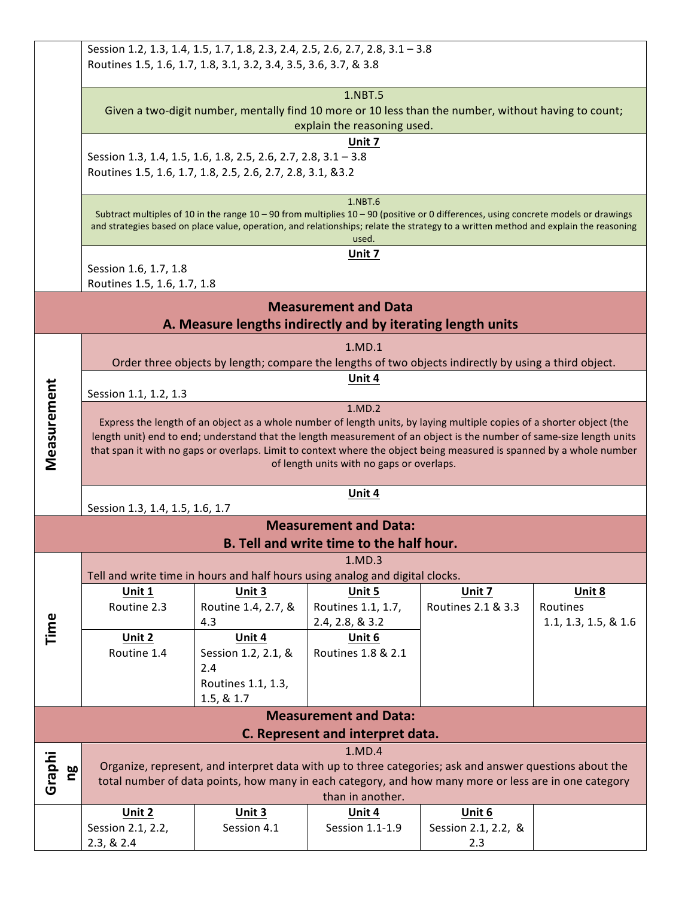| Session 1.2, 1.3, 1.4, 1.5, 1.7, 1.8, 2.3, 2.4, 2.5, 2.6, 2.7, 2.8, 3.1 - 3.8                        |                                                                                                                                                                                                                             |                                                                                                                                      |                                                                  |                     |                      |  |  |  |
|------------------------------------------------------------------------------------------------------|-----------------------------------------------------------------------------------------------------------------------------------------------------------------------------------------------------------------------------|--------------------------------------------------------------------------------------------------------------------------------------|------------------------------------------------------------------|---------------------|----------------------|--|--|--|
|                                                                                                      |                                                                                                                                                                                                                             | Routines 1.5, 1.6, 1.7, 1.8, 3.1, 3.2, 3.4, 3.5, 3.6, 3.7, & 3.8                                                                     |                                                                  |                     |                      |  |  |  |
|                                                                                                      |                                                                                                                                                                                                                             |                                                                                                                                      | 1.NBT.5                                                          |                     |                      |  |  |  |
| Given a two-digit number, mentally find 10 more or 10 less than the number, without having to count; |                                                                                                                                                                                                                             |                                                                                                                                      |                                                                  |                     |                      |  |  |  |
|                                                                                                      |                                                                                                                                                                                                                             |                                                                                                                                      | explain the reasoning used.                                      |                     |                      |  |  |  |
|                                                                                                      |                                                                                                                                                                                                                             |                                                                                                                                      | Unit 7                                                           |                     |                      |  |  |  |
|                                                                                                      |                                                                                                                                                                                                                             | Session 1.3, 1.4, 1.5, 1.6, 1.8, 2.5, 2.6, 2.7, 2.8, 3.1 - 3.8                                                                       |                                                                  |                     |                      |  |  |  |
|                                                                                                      |                                                                                                                                                                                                                             | Routines 1.5, 1.6, 1.7, 1.8, 2.5, 2.6, 2.7, 2.8, 3.1, &3.2                                                                           |                                                                  |                     |                      |  |  |  |
|                                                                                                      |                                                                                                                                                                                                                             |                                                                                                                                      | 1.NBT.6                                                          |                     |                      |  |  |  |
|                                                                                                      |                                                                                                                                                                                                                             | Subtract multiples of 10 in the range 10 - 90 from multiplies 10 - 90 (positive or 0 differences, using concrete models or drawings  |                                                                  |                     |                      |  |  |  |
|                                                                                                      |                                                                                                                                                                                                                             | and strategies based on place value, operation, and relationships; relate the strategy to a written method and explain the reasoning | used.                                                            |                     |                      |  |  |  |
|                                                                                                      |                                                                                                                                                                                                                             |                                                                                                                                      | Unit 7                                                           |                     |                      |  |  |  |
|                                                                                                      | Session 1.6, 1.7, 1.8                                                                                                                                                                                                       |                                                                                                                                      |                                                                  |                     |                      |  |  |  |
|                                                                                                      | Routines 1.5, 1.6, 1.7, 1.8                                                                                                                                                                                                 |                                                                                                                                      |                                                                  |                     |                      |  |  |  |
|                                                                                                      | <b>Measurement and Data</b>                                                                                                                                                                                                 |                                                                                                                                      |                                                                  |                     |                      |  |  |  |
|                                                                                                      |                                                                                                                                                                                                                             | A. Measure lengths indirectly and by iterating length units                                                                          |                                                                  |                     |                      |  |  |  |
|                                                                                                      |                                                                                                                                                                                                                             |                                                                                                                                      | 1.MD.1                                                           |                     |                      |  |  |  |
|                                                                                                      |                                                                                                                                                                                                                             | Order three objects by length; compare the lengths of two objects indirectly by using a third object.                                |                                                                  |                     |                      |  |  |  |
|                                                                                                      |                                                                                                                                                                                                                             | Unit 4                                                                                                                               |                                                                  |                     |                      |  |  |  |
| Measurement                                                                                          | Session 1.1, 1.2, 1.3<br>1.MD.2                                                                                                                                                                                             |                                                                                                                                      |                                                                  |                     |                      |  |  |  |
|                                                                                                      |                                                                                                                                                                                                                             | Express the length of an object as a whole number of length units, by laying multiple copies of a shorter object (the                |                                                                  |                     |                      |  |  |  |
|                                                                                                      |                                                                                                                                                                                                                             | length unit) end to end; understand that the length measurement of an object is the number of same-size length units                 |                                                                  |                     |                      |  |  |  |
|                                                                                                      |                                                                                                                                                                                                                             | that span it with no gaps or overlaps. Limit to context where the object being measured is spanned by a whole number                 |                                                                  |                     |                      |  |  |  |
|                                                                                                      |                                                                                                                                                                                                                             |                                                                                                                                      | of length units with no gaps or overlaps.                        |                     |                      |  |  |  |
|                                                                                                      |                                                                                                                                                                                                                             |                                                                                                                                      | <b>Unit 4</b>                                                    |                     |                      |  |  |  |
|                                                                                                      | Session 1.3, 1.4, 1.5, 1.6, 1.7                                                                                                                                                                                             |                                                                                                                                      |                                                                  |                     |                      |  |  |  |
|                                                                                                      |                                                                                                                                                                                                                             |                                                                                                                                      | <b>Measurement and Data:</b>                                     |                     |                      |  |  |  |
|                                                                                                      |                                                                                                                                                                                                                             |                                                                                                                                      | <b>B.</b> Tell and write time to the half hour.                  |                     |                      |  |  |  |
| 1.MD.3<br>Tell and write time in hours and half hours using analog and digital clocks.               |                                                                                                                                                                                                                             |                                                                                                                                      |                                                                  |                     |                      |  |  |  |
|                                                                                                      | Unit 1                                                                                                                                                                                                                      | Unit 3                                                                                                                               | Unit 5                                                           | Unit 7              | Unit 8               |  |  |  |
|                                                                                                      | Routine 2.3                                                                                                                                                                                                                 | Routine 1.4, 2.7, &                                                                                                                  | Routines 1.1, 1.7,                                               | Routines 2.1 & 3.3  | Routines             |  |  |  |
|                                                                                                      |                                                                                                                                                                                                                             | 4.3                                                                                                                                  | 2.4, 2.8, & 3.2                                                  |                     | 1.1, 1.3, 1.5, & 1.6 |  |  |  |
| Time                                                                                                 | Unit 2                                                                                                                                                                                                                      | Unit 4                                                                                                                               | Unit 6                                                           |                     |                      |  |  |  |
|                                                                                                      | Routine 1.4                                                                                                                                                                                                                 | Session 1.2, 2.1, &                                                                                                                  | Routines 1.8 & 2.1                                               |                     |                      |  |  |  |
|                                                                                                      |                                                                                                                                                                                                                             | 2.4                                                                                                                                  |                                                                  |                     |                      |  |  |  |
|                                                                                                      |                                                                                                                                                                                                                             | Routines 1.1, 1.3,                                                                                                                   |                                                                  |                     |                      |  |  |  |
|                                                                                                      |                                                                                                                                                                                                                             | 1.5, & 1.7                                                                                                                           |                                                                  |                     |                      |  |  |  |
|                                                                                                      |                                                                                                                                                                                                                             |                                                                                                                                      | <b>Measurement and Data:</b><br>C. Represent and interpret data. |                     |                      |  |  |  |
|                                                                                                      |                                                                                                                                                                                                                             |                                                                                                                                      | 1.MD.4                                                           |                     |                      |  |  |  |
|                                                                                                      |                                                                                                                                                                                                                             |                                                                                                                                      |                                                                  |                     |                      |  |  |  |
| Graphi                                                                                               | Organize, represent, and interpret data with up to three categories; ask and answer questions about the<br>ρg<br>Π<br>total number of data points, how many in each category, and how many more or less are in one category |                                                                                                                                      |                                                                  |                     |                      |  |  |  |
|                                                                                                      | than in another.                                                                                                                                                                                                            |                                                                                                                                      |                                                                  |                     |                      |  |  |  |
|                                                                                                      | Unit $2$                                                                                                                                                                                                                    | Unit $3$                                                                                                                             | Unit 4                                                           | Unit $6$            |                      |  |  |  |
|                                                                                                      | Session 2.1, 2.2,                                                                                                                                                                                                           | Session 4.1                                                                                                                          | Session 1.1-1.9                                                  | Session 2.1, 2.2, & |                      |  |  |  |
|                                                                                                      | 2.3, & 2.4                                                                                                                                                                                                                  |                                                                                                                                      |                                                                  | 2.3                 |                      |  |  |  |